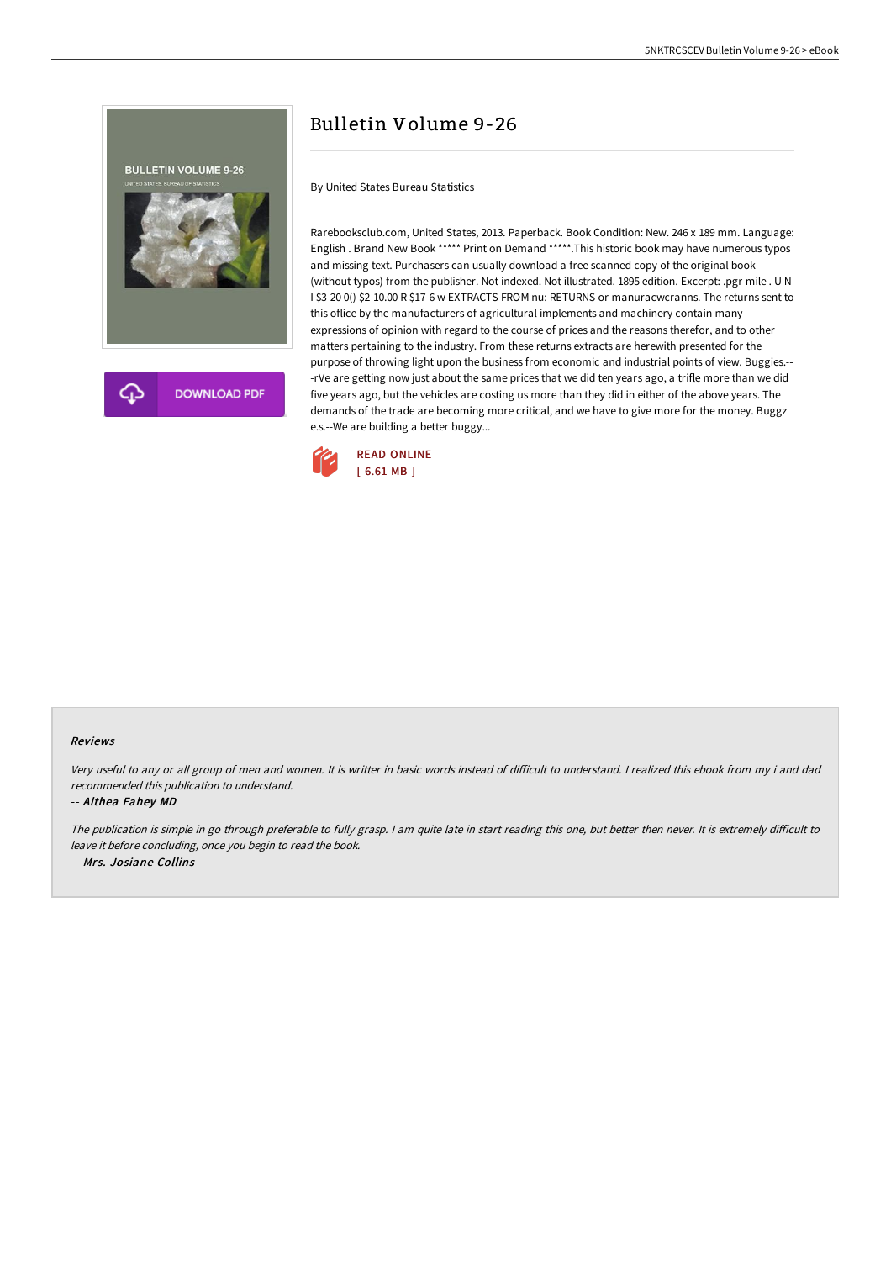

## Bulletin Volume 9-26

By United States Bureau Statistics

Rarebooksclub.com, United States, 2013. Paperback. Book Condition: New. 246 x 189 mm. Language: English . Brand New Book \*\*\*\*\* Print on Demand \*\*\*\*\*.This historic book may have numerous typos and missing text. Purchasers can usually download a free scanned copy of the original book (without typos) from the publisher. Not indexed. Not illustrated. 1895 edition. Excerpt: .pgr mile . U N I \$3-20 0() \$2-10.00 R \$17-6 w EXTRACTS FROM nu: RETURNS or manuracwcranns. The returns sent to this oflice by the manufacturers of agricultural implements and machinery contain many expressions of opinion with regard to the course of prices and the reasons therefor, and to other matters pertaining to the industry. From these returns extracts are herewith presented for the purpose of throwing light upon the business from economic and industrial points of view. Buggies.-- -rVe are getting now just about the same prices that we did ten years ago, a trifle more than we did five years ago, but the vehicles are costing us more than they did in either of the above years. The demands of the trade are becoming more critical, and we have to give more for the money. Buggz e.s.--We are building a better buggy...



## Reviews

Very useful to any or all group of men and women. It is writter in basic words instead of difficult to understand. I realized this ebook from my i and dad recommended this publication to understand.

-- Althea Fahey MD

The publication is simple in go through preferable to fully grasp. I am quite late in start reading this one, but better then never. It is extremely difficult to leave it before concluding, once you begin to read the book. -- Mrs. Josiane Collins